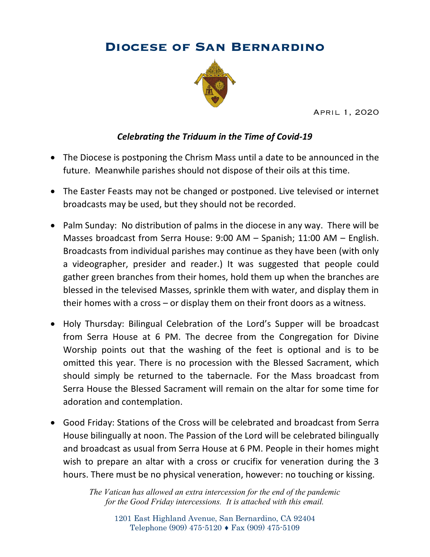## **Diocese of San Bernardino**



April 1, 2020

## *Celebrating the Triduum in the Time of Covid-19*

- The Diocese is postponing the Chrism Mass until a date to be announced in the future. Meanwhile parishes should not dispose of their oils at this time.
- The Easter Feasts may not be changed or postponed. Live televised or internet broadcasts may be used, but they should not be recorded.
- Palm Sunday: No distribution of palms in the diocese in any way. There will be Masses broadcast from Serra House: 9:00 AM – Spanish; 11:00 AM – English. Broadcasts from individual parishes may continue as they have been (with only a videographer, presider and reader.) It was suggested that people could gather green branches from their homes, hold them up when the branches are blessed in the televised Masses, sprinkle them with water, and display them in their homes with a cross – or display them on their front doors as a witness.
- Holy Thursday: Bilingual Celebration of the Lord's Supper will be broadcast from Serra House at 6 PM. The decree from the Congregation for Divine Worship points out that the washing of the feet is optional and is to be omitted this year. There is no procession with the Blessed Sacrament, which should simply be returned to the tabernacle. For the Mass broadcast from Serra House the Blessed Sacrament will remain on the altar for some time for adoration and contemplation.
- Good Friday: Stations of the Cross will be celebrated and broadcast from Serra House bilingually at noon. The Passion of the Lord will be celebrated bilingually and broadcast as usual from Serra House at 6 PM. People in their homes might wish to prepare an altar with a cross or crucifix for veneration during the 3 hours. There must be no physical veneration, however: no touching or kissing.

*The Vatican has allowed an extra intercession for the end of the pandemic for the Good Friday intercessions. It is attached with this email.*

> 1201 East Highland Avenue, San Bernardino, CA 92404 Telephone (909) 475-5120 ♦ Fax (909) 475-5109